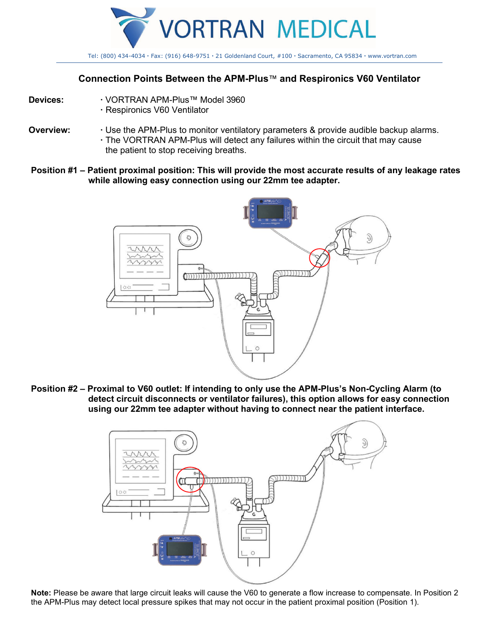

### **Connection Points Between the APM-Plus**™ **and Respironics V60 Ventilator**

- 
- **Devices: ·** VORTRAN APM-Plus™ Model 3960
	- **·** Respironics V60 Ventilator
- **Overview:** Use the APM-Plus to monitor ventilatory parameters & provide audible backup alarms. **·** The VORTRAN APM-Plus will detect any failures within the circuit that may cause the patient to stop receiving breaths.
- **Position #1 Patient proximal position: This will provide the most accurate results of any leakage rates while allowing easy connection using our 22mm tee adapter.**



**Position #2 – Proximal to V60 outlet: If intending to only use the APM-Plus's Non-Cycling Alarm (to detect circuit disconnects or ventilator failures), this option allows for easy connection using our 22mm tee adapter without having to connect near the patient interface.** 



**Note:** Please be aware that large circuit leaks will cause the V60 to generate a flow increase to compensate. In Position 2 the APM-Plus may detect local pressure spikes that may not occur in the patient proximal position (Position 1).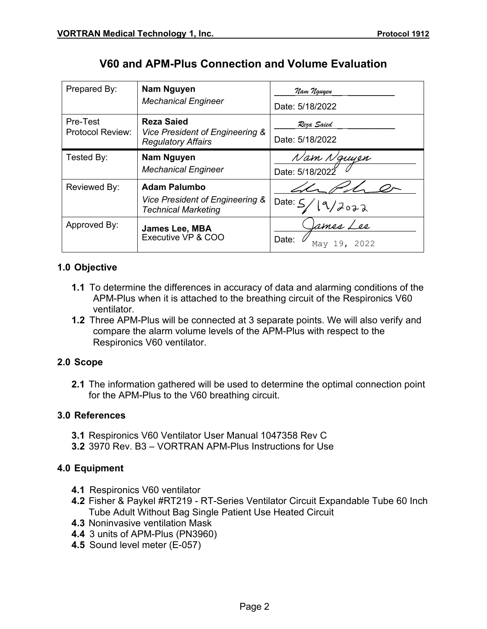| Prepared By:                 | Nam Nguyen<br><b>Mechanical Engineer</b>                                             | Nam Nguyen<br>Date: 5/18/2022         |
|------------------------------|--------------------------------------------------------------------------------------|---------------------------------------|
| Pre-Test<br>Protocol Review: | <b>Reza Saied</b><br>Vice President of Engineering &<br><b>Regulatory Affairs</b>    | Reza Saied<br>Date: 5/18/2022         |
| Tested By:                   | Nam Nguyen<br><b>Mechanical Engineer</b>                                             | Nam Nguyen<br>Date: 5/18/2022         |
| Reviewed By:                 | <b>Adam Palumbo</b><br>Vice President of Engineering &<br><b>Technical Marketing</b> | Date: $\frac{1}{2}$<br>19/2022        |
| Approved By:                 | James Lee, MBA<br>Executive VP & COO                                                 | lames Lee<br>Date:<br>19, 2022<br>Mav |

# **V60 and APM-Plus Connection and Volume Evaluation**

## **1.0 Objective**

- **1.1** To determine the differences in accuracy of data and alarming conditions of the APM-Plus when it is attached to the breathing circuit of the Respironics V60 ventilator.
- **1.2** Three APM-Plus will be connected at 3 separate points. We will also verify and compare the alarm volume levels of the APM-Plus with respect to the Respironics V60 ventilator.

#### **2.0 Scope**

**2.1** The information gathered will be used to determine the optimal connection point for the APM-Plus to the V60 breathing circuit.

#### **3.0 References**

- **3.1** Respironics V60 Ventilator User Manual 1047358 Rev C
- **3.2** 3970 Rev. B3 VORTRAN APM-Plus Instructions for Use

#### **4.0 Equipment**

- **4.1** Respironics V60 ventilator
- **4.2** Fisher & Paykel #RT219 RT-Series Ventilator Circuit Expandable Tube 60 Inch Tube Adult Without Bag Single Patient Use Heated Circuit
- **4.3** Noninvasive ventilation Mask
- **4.4** 3 units of APM-Plus (PN3960)
- **4.5** Sound level meter (E-057)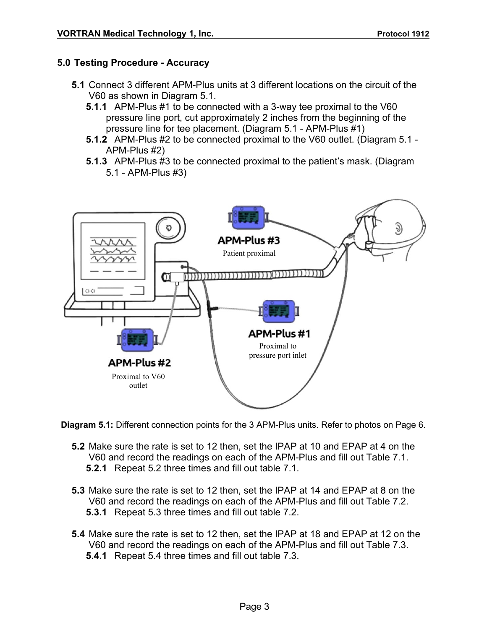## **5.0 Testing Procedure - Accuracy**

- **5.1** Connect 3 different APM-Plus units at 3 different locations on the circuit of the V60 as shown in Diagram 5.1.
	- **5.1.1** APM-Plus #1 to be connected with a 3-way tee proximal to the V60 pressure line port, cut approximately 2 inches from the beginning of the pressure line for tee placement. (Diagram 5.1 - APM-Plus #1)
	- **5.1.2** APM-Plus #2 to be connected proximal to the V60 outlet. (Diagram 5.1 APM-Plus #2)
	- **5.1.3** APM-Plus #3 to be connected proximal to the patient's mask. (Diagram 5.1 - APM-Plus #3)



**Diagram 5.1:** Different connection points for the 3 APM-Plus units. Refer to photos on Page 6.

- **5.2** Make sure the rate is set to 12 then, set the IPAP at 10 and EPAP at 4 on the V60 and record the readings on each of the APM-Plus and fill out Table 7.1. **5.2.1** Repeat 5.2 three times and fill out table 7.1.
- **5.3** Make sure the rate is set to 12 then, set the IPAP at 14 and EPAP at 8 on the V60 and record the readings on each of the APM-Plus and fill out Table 7.2. **5.3.1** Repeat 5.3 three times and fill out table 7.2.
- **5.4** Make sure the rate is set to 12 then, set the IPAP at 18 and EPAP at 12 on the V60 and record the readings on each of the APM-Plus and fill out Table 7.3. **5.4.1** Repeat 5.4 three times and fill out table 7.3.
	- Page 3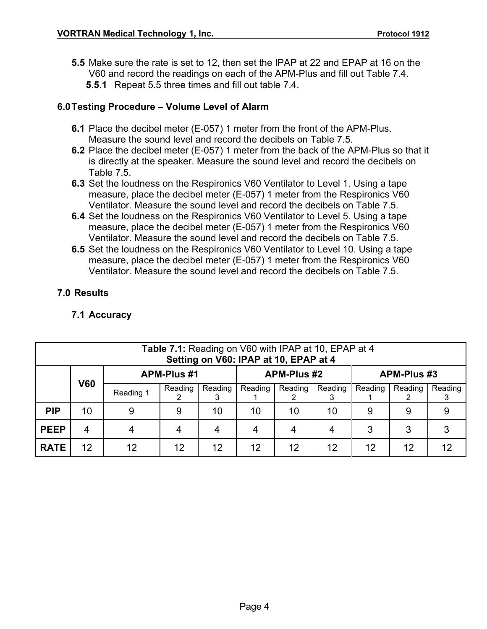**5.5** Make sure the rate is set to 12, then set the IPAP at 22 and EPAP at 16 on the V60 and record the readings on each of the APM-Plus and fill out Table 7.4. **5.5.1** Repeat 5.5 three times and fill out table 7.4.

#### **6.0Testing Procedure – Volume Level of Alarm**

- **6.1** Place the decibel meter (E-057) 1 meter from the front of the APM-Plus. Measure the sound level and record the decibels on Table 7.5.
- **6.2** Place the decibel meter (E-057) 1 meter from the back of the APM-Plus so that it is directly at the speaker. Measure the sound level and record the decibels on Table 7.5.
- **6.3** Set the loudness on the Respironics V60 Ventilator to Level 1. Using a tape measure, place the decibel meter (E-057) 1 meter from the Respironics V60 Ventilator. Measure the sound level and record the decibels on Table 7.5.
- **6.4** Set the loudness on the Respironics V60 Ventilator to Level 5. Using a tape measure, place the decibel meter (E-057) 1 meter from the Respironics V60 Ventilator. Measure the sound level and record the decibels on Table 7.5.
- **6.5** Set the loudness on the Respironics V60 Ventilator to Level 10. Using a tape measure, place the decibel meter (E-057) 1 meter from the Respironics V60 Ventilator. Measure the sound level and record the decibels on Table 7.5.

#### **7.0 Results**

### **7.1 Accuracy**

| Table 7.1: Reading on V60 with IPAP at 10, EPAP at 4<br>Setting on V60: IPAP at 10, EPAP at 4 |            |                    |                    |                 |         |                    |         |         |         |         |
|-----------------------------------------------------------------------------------------------|------------|--------------------|--------------------|-----------------|---------|--------------------|---------|---------|---------|---------|
|                                                                                               |            | <b>APM-Plus #1</b> | <b>APM-Plus #2</b> |                 |         | <b>APM-Plus #3</b> |         |         |         |         |
|                                                                                               | <b>V60</b> | Reading 1          | Reading            | Reading         | Reading | Reading            | Reading | Reading | Reading | Reading |
| <b>PIP</b>                                                                                    | 10         | 9                  | 9                  | 10              | 10      | 10                 | 10      | 9       | 9       |         |
| <b>PEEP</b>                                                                                   | 4          | 4                  | 4                  | 4               |         | 4                  | 4       | 3       | 3       |         |
| <b>RATE</b>                                                                                   | 12         | 12                 | 12                 | 12 <sup>2</sup> | 12      | 12                 | 12      | 12      | 12      | 12      |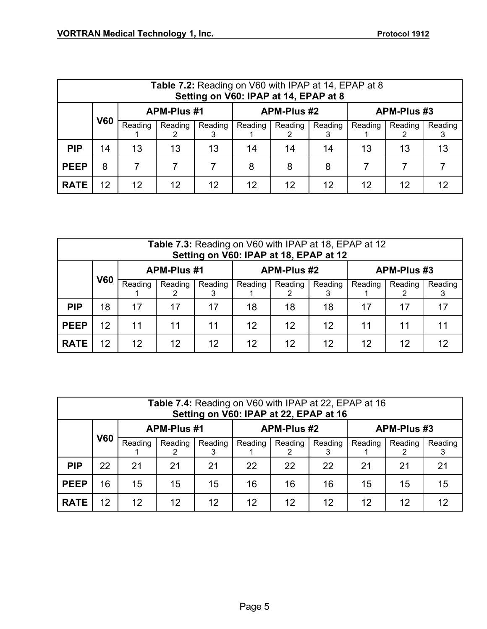| <b>Table 7.2:</b> Reading on V60 with IPAP at 14, EPAP at 8<br>Setting on V60: IPAP at 14, EPAP at 8 |            |         |                    |         |                    |         |         |                    |         |         |
|------------------------------------------------------------------------------------------------------|------------|---------|--------------------|---------|--------------------|---------|---------|--------------------|---------|---------|
|                                                                                                      |            |         | <b>APM-Plus #1</b> |         | <b>APM-Plus #2</b> |         |         | <b>APM-Plus #3</b> |         |         |
|                                                                                                      | <b>V60</b> | Reading | Reading            | Reading | Reading            | Reading | Reading | Reading            | Reading | Reading |
| <b>PIP</b>                                                                                           | 14         | 13      | 13                 | 13      | 14                 | 14      | 14      | 13                 | 13      | 13      |
| <b>PEEP</b>                                                                                          | 8          | 7       |                    |         | 8                  | 8       | 8       |                    |         |         |
| <b>RATE</b>                                                                                          | 12         | 12      | 12                 | 12      | 12                 | 12      | 12      | 12                 | 12      | 12      |

| Table 7.3: Reading on V60 with IPAP at 18, EPAP at 12<br>Setting on V60: IPAP at 18, EPAP at 12 |            |                    |         |         |                    |         |         |                    |         |         |
|-------------------------------------------------------------------------------------------------|------------|--------------------|---------|---------|--------------------|---------|---------|--------------------|---------|---------|
|                                                                                                 |            | <b>APM-Plus #1</b> |         |         | <b>APM-Plus #2</b> |         |         | <b>APM-Plus #3</b> |         |         |
|                                                                                                 | <b>V60</b> | Reading            | Reading | Reading | Reading            | Reading | Reading | Reading            | Reading | Reading |
| <b>PIP</b>                                                                                      | 18         | 17                 | 17      | 17      | 18                 | 18      | 18      | 17                 | 17      | 17      |
| <b>PEEP</b>                                                                                     | 12         | 11                 | 11      | 11      | 12                 | 12      | 12      | 11                 | 11      | 11      |
| <b>RATE</b>                                                                                     | 12         | 12                 | 12      | 12      | 12                 | 12      | 12      | 12                 | 12      | 12      |

| Table 7.4: Reading on V60 with IPAP at 22, EPAP at 16<br>Setting on V60: IPAP at 22, EPAP at 16 |            |         |                    |         |         |                    |              |                    |         |         |
|-------------------------------------------------------------------------------------------------|------------|---------|--------------------|---------|---------|--------------------|--------------|--------------------|---------|---------|
|                                                                                                 |            |         | <b>APM-Plus #1</b> |         |         | <b>APM-Plus #2</b> |              | <b>APM-Plus #3</b> |         |         |
|                                                                                                 | <b>V60</b> | Reading | Reading            | Reading | Reading | Reading            | Reading<br>3 | Reading            | Reading | Reading |
| <b>PIP</b>                                                                                      | 22         | 21      | 21                 | 21      | 22      | 22                 | 22           | 21                 | 21      | 21      |
| <b>PEEP</b>                                                                                     | 16         | 15      | 15                 | 15      | 16      | 16                 | 16           | 15                 | 15      | 15      |
| <b>RATE</b>                                                                                     | 12         | 12      | 12                 | 12      | 12      | $12 \overline{ }$  | 12           | 12                 | 12      | 12      |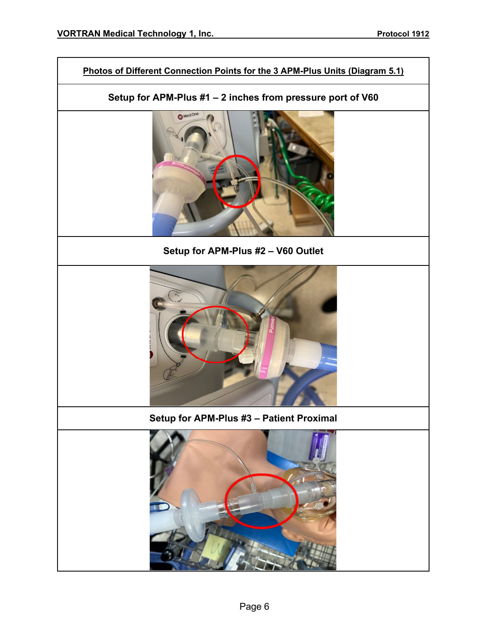